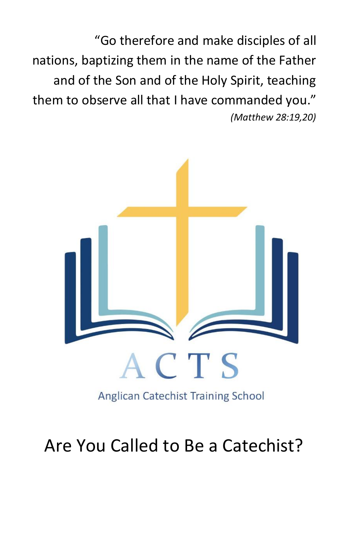"Go therefore and make disciples of all nations, baptizing them in the name of the Father and of the Son and of the Holy Spirit, teaching them to observe all that I have commanded you." *(Matthew 28:19,20)*



# Are You Called to Be a Catechist?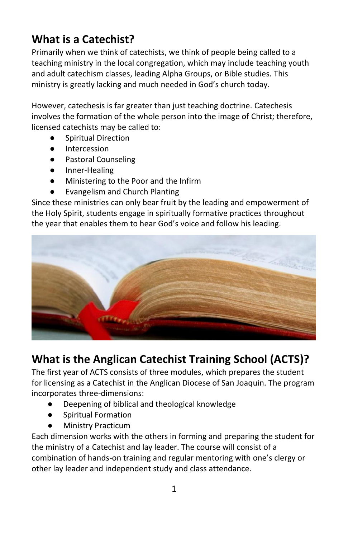## **What is a Catechist?**

Primarily when we think of catechists, we think of people being called to a teaching ministry in the local congregation, which may include teaching youth and adult catechism classes, leading Alpha Groups, or Bible studies. This ministry is greatly lacking and much needed in God's church today.

However, catechesis is far greater than just teaching doctrine. Catechesis involves the formation of the whole person into the image of Christ; therefore, licensed catechists may be called to:

- Spiritual Direction
- **Intercession**
- Pastoral Counseling
- Inner-Healing
- Ministering to the Poor and the Infirm
- Evangelism and Church Planting

Since these ministries can only bear fruit by the leading and empowerment of the Holy Spirit, students engage in spiritually formative practices throughout the year that enables them to hear God's voice and follow his leading.



# **What is the Anglican Catechist Training School (ACTS)?**

The first year of ACTS consists of three modules, which prepares the student for licensing as a Catechist in the Anglican Diocese of San Joaquin. The program incorporates three-dimensions:

- Deepening of biblical and theological knowledge
- Spiritual Formation
- Ministry Practicum

Each dimension works with the others in forming and preparing the student for the ministry of a Catechist and lay leader. The course will consist of a combination of hands-on training and regular mentoring with one's clergy or other lay leader and independent study and class attendance.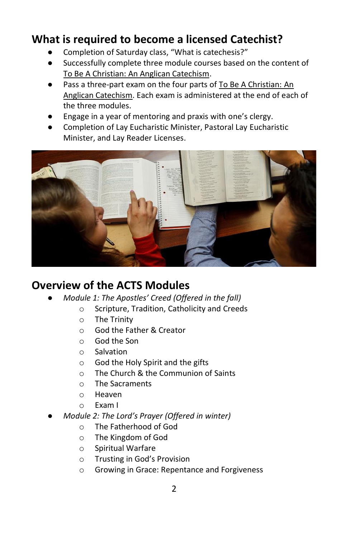#### **What is required to become a licensed Catechist?**

- Completion of Saturday class, "What is catechesis?"
- Successfully complete three module courses based on the content of To Be A Christian: An Anglican Catechism.
- Pass a three-part exam on the four parts of To Be A Christian: An Anglican Catechism. Each exam is administered at the end of each of the three modules.
- Engage in a year of mentoring and praxis with one's clergy.
- Completion of Lay Eucharistic Minister, Pastoral Lay Eucharistic Minister, and Lay Reader Licenses.



#### **Overview of the ACTS Modules**

- *Module 1: The Apostles' Creed (Offered in the fall)*
	- o Scripture, Tradition, Catholicity and Creeds
	- o The Trinity
	- o God the Father & Creator
	- o God the Son
	- o Salvation
	- o God the Holy Spirit and the gifts
	- o The Church & the Communion of Saints
	- o The Sacraments
	- o Heaven
	- o Exam I
- *Module 2: The Lord's Prayer (Offered in winter)*
	- o The Fatherhood of God
	- o The Kingdom of God
	- o Spiritual Warfare
	- o Trusting in God's Provision
	- o Growing in Grace: Repentance and Forgiveness